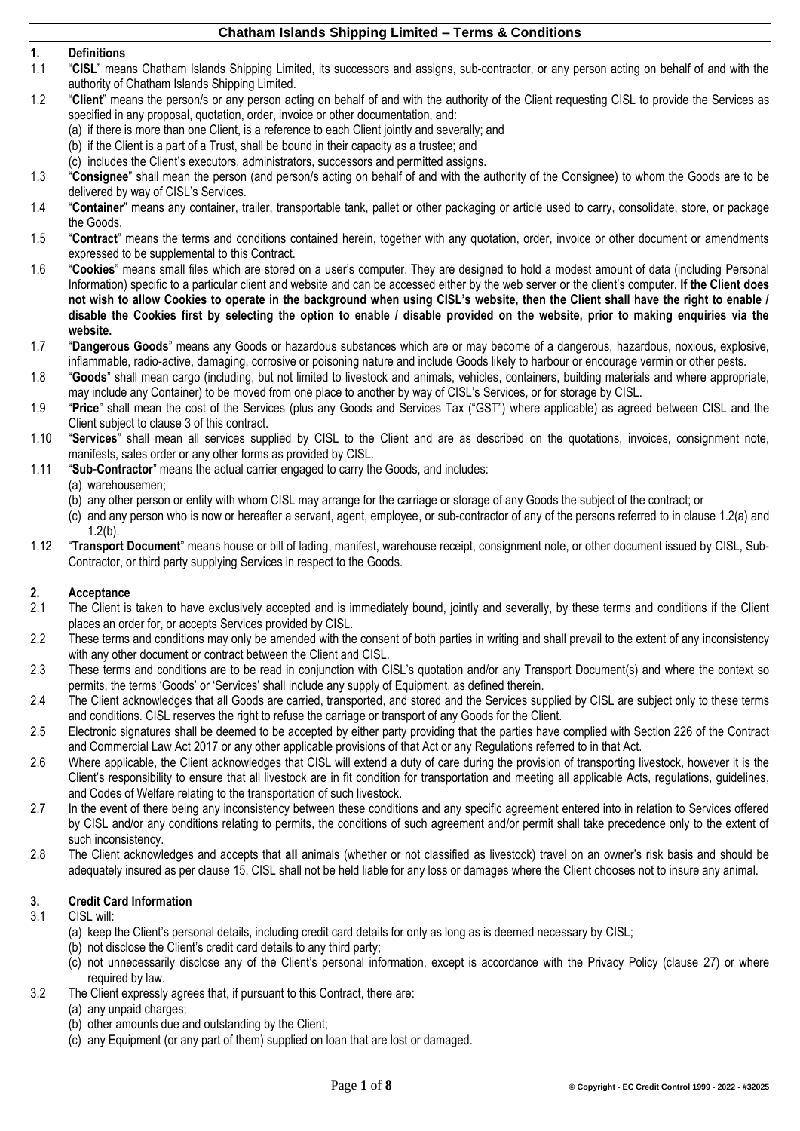## **1. Definitions**

- 1.1 "**CISL**" means Chatham Islands Shipping Limited, its successors and assigns, sub-contractor, or any person acting on behalf of and with the authority of Chatham Islands Shipping Limited.
- 1.2 "**Client**" means the person/s or any person acting on behalf of and with the authority of the Client requesting CISL to provide the Services as specified in any proposal, quotation, order, invoice or other documentation, and:
	- (a) if there is more than one Client, is a reference to each Client jointly and severally; and
	- (b) if the Client is a part of a Trust, shall be bound in their capacity as a trustee; and
	- (c) includes the Client's executors, administrators, successors and permitted assigns.
- 1.3 "**Consignee**" shall mean the person (and person/s acting on behalf of and with the authority of the Consignee) to whom the Goods are to be delivered by way of CISL's Services.
- 1.4 "**Container**" means any container, trailer, transportable tank, pallet or other packaging or article used to carry, consolidate, store, or package the Goods.
- 1.5 "**Contract**" means the terms and conditions contained herein, together with any quotation, order, invoice or other document or amendments expressed to be supplemental to this Contract.
- 1.6 "**Cookies**" means small files which are stored on a user's computer. They are designed to hold a modest amount of data (including Personal Information) specific to a particular client and website and can be accessed either by the web server or the client's computer. **If the Client does not wish to allow Cookies to operate in the background when using CISL's website, then the Client shall have the right to enable / disable the Cookies first by selecting the option to enable / disable provided on the website, prior to making enquiries via the website.**
- 1.7 "**Dangerous Goods**" means any Goods or hazardous substances which are or may become of a dangerous, hazardous, noxious, explosive, inflammable, radio-active, damaging, corrosive or poisoning nature and include Goods likely to harbour or encourage vermin or other pests.
- 1.8 "**Goods**" shall mean cargo (including, but not limited to livestock and animals, vehicles, containers, building materials and where appropriate, may include any Container) to be moved from one place to another by way of CISL's Services, or for storage by CISL.
- 1.9 "**Price**" shall mean the cost of the Services (plus any Goods and Services Tax ("GST") where applicable) as agreed between CISL and the Client subject to clause 3 of this contract.
- 1.10 "**Services**" shall mean all services supplied by CISL to the Client and are as described on the quotations, invoices, consignment note, manifests, sales order or any other forms as provided by CISL.
- 1.11 "**Sub-Contractor**" means the actual carrier engaged to carry the Goods, and includes:

#### (a) warehousemen;

- (b) any other person or entity with whom CISL may arrange for the carriage or storage of any Goods the subject of the contract; or
- (c) and any person who is now or hereafter a servant, agent, employee, or sub-contractor of any of the persons referred to in clause 1.2(a) and 1.2(b).
- 1.12 "**Transport Document**" means house or bill of lading, manifest, warehouse receipt, consignment note, or other document issued by CISL, Sub-Contractor, or third party supplying Services in respect to the Goods.

# **2. Acceptance**

- The Client is taken to have exclusively accepted and is immediately bound, jointly and severally, by these terms and conditions if the Client places an order for, or accepts Services provided by CISL.
- 2.2 These terms and conditions may only be amended with the consent of both parties in writing and shall prevail to the extent of any inconsistency with any other document or contract between the Client and CISL.
- 2.3 These terms and conditions are to be read in conjunction with CISL's quotation and/or any Transport Document(s) and where the context so permits, the terms 'Goods' or 'Services' shall include any supply of Equipment, as defined therein.
- 2.4 The Client acknowledges that all Goods are carried, transported, and stored and the Services supplied by CISL are subject only to these terms and conditions. CISL reserves the right to refuse the carriage or transport of any Goods for the Client.
- 2.5 Electronic signatures shall be deemed to be accepted by either party providing that the parties have complied with Section 226 of the Contract and Commercial Law Act 2017 or any other applicable provisions of that Act or any Regulations referred to in that Act.
- 2.6 Where applicable, the Client acknowledges that CISL will extend a duty of care during the provision of transporting livestock, however it is the Client's responsibility to ensure that all livestock are in fit condition for transportation and meeting all applicable Acts, regulations, guidelines, and Codes of Welfare relating to the transportation of such livestock.
- 2.7 In the event of there being any inconsistency between these conditions and any specific agreement entered into in relation to Services offered by CISL and/or any conditions relating to permits, the conditions of such agreement and/or permit shall take precedence only to the extent of such inconsistency.
- 2.8 The Client acknowledges and accepts that **all** animals (whether or not classified as livestock) travel on an owner's risk basis and should be adequately insured as per claus[e 15.](#page-3-0) CISL shall not be held liable for any loss or damages where the Client chooses not to insure any animal.

#### **3. Credit Card Information**

#### 3.1 CISL will:

- (a) keep the Client's personal details, including credit card details for only as long as is deemed necessary by CISL;
- (b) not disclose the Client's credit card details to any third party;
- (c) not unnecessarily disclose any of the Client's personal information, except is accordance with the Privacy Policy (clause [27\)](#page-6-0) or where required by law.
- 3.2 The Client expressly agrees that, if pursuant to this Contract, there are:
	- (a) any unpaid charges;
	- (b) other amounts due and outstanding by the Client;
	- (c) any Equipment (or any part of them) supplied on loan that are lost or damaged.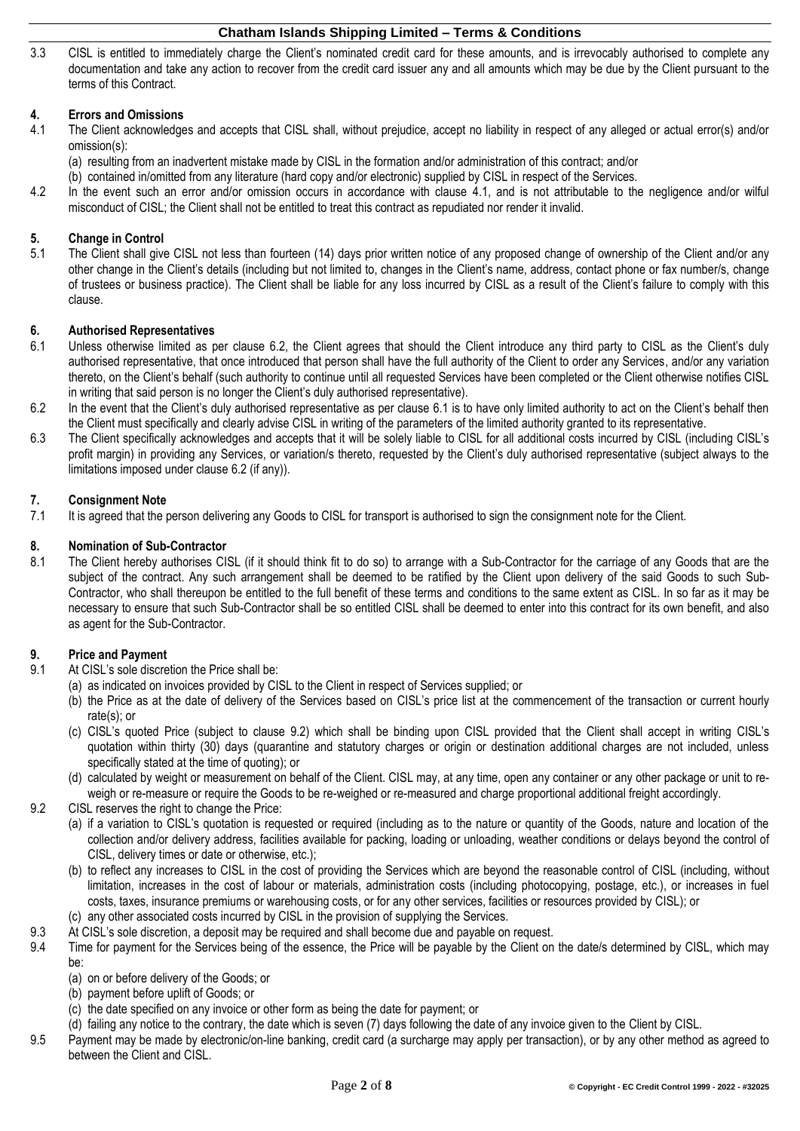3.3 CISL is entitled to immediately charge the Client's nominated credit card for these amounts, and is irrevocably authorised to complete any documentation and take any action to recover from the credit card issuer any and all amounts which may be due by the Client pursuant to the terms of this Contract.

# **4. Errors and Omissions**

- <span id="page-1-0"></span>The Client acknowledges and accepts that CISL shall, without prejudice, accept no liability in respect of any alleged or actual error(s) and/or omission(s):
	- (a) resulting from an inadvertent mistake made by CISL in the formation and/or administration of this contract; and/or
	- (b) contained in/omitted from any literature (hard copy and/or electronic) supplied by CISL in respect of the Services.
- 4.2 In the event such an error and/or omission occurs in accordance with clause [4.1,](#page-1-0) and is not attributable to the negligence and/or wilful misconduct of CISL; the Client shall not be entitled to treat this contract as repudiated nor render it invalid.

#### **5. Change in Control**

5.1 The Client shall give CISL not less than fourteen (14) days prior written notice of any proposed change of ownership of the Client and/or any other change in the Client's details (including but not limited to, changes in the Client's name, address, contact phone or fax number/s, change of trustees or business practice). The Client shall be liable for any loss incurred by CISL as a result of the Client's failure to comply with this clause.

# **6. Authorised Representatives**

- <span id="page-1-2"></span>Unless otherwise limited as per clause [6.2,](#page-1-1) the Client agrees that should the Client introduce any third party to CISL as the Client's duly authorised representative, that once introduced that person shall have the full authority of the Client to order any Services, and/or any variation thereto, on the Client's behalf (such authority to continue until all requested Services have been completed or the Client otherwise notifies CISL in writing that said person is no longer the Client's duly authorised representative).
- <span id="page-1-1"></span>6.2 In the event that the Client's duly authorised representative as per clause [6.1](#page-1-2) is to have only limited authority to act on the Client's behalf then the Client must specifically and clearly advise CISL in writing of the parameters of the limited authority granted to its representative.
- 6.3 The Client specifically acknowledges and accepts that it will be solely liable to CISL for all additional costs incurred by CISL (including CISL's profit margin) in providing any Services, or variation/s thereto, requested by the Client's duly authorised representative (subject always to the limitations imposed under clause [6.2](#page-1-1) (if any)).

#### **7. Consignment Note**

7.1 It is agreed that the person delivering any Goods to CISL for transport is authorised to sign the consignment note for the Client.

#### **8. Nomination of Sub-Contractor**

8.1 The Client hereby authorises CISL (if it should think fit to do so) to arrange with a Sub-Contractor for the carriage of any Goods that are the subject of the contract. Any such arrangement shall be deemed to be ratified by the Client upon delivery of the said Goods to such Sub-Contractor, who shall thereupon be entitled to the full benefit of these terms and conditions to the same extent as CISL. In so far as it may be necessary to ensure that such Sub-Contractor shall be so entitled CISL shall be deemed to enter into this contract for its own benefit, and also as agent for the Sub-Contractor.

#### **9. Price and Payment**

- 9.1 At CISL's sole discretion the Price shall be:
	- (a) as indicated on invoices provided by CISL to the Client in respect of Services supplied; or
	- (b) the Price as at the date of delivery of the Services based on CISL's price list at the commencement of the transaction or current hourly rate(s); or
	- (c) CISL's quoted Price (subject to clause [9.2\)](#page-1-3) which shall be binding upon CISL provided that the Client shall accept in writing CISL's quotation within thirty (30) days (quarantine and statutory charges or origin or destination additional charges are not included, unless specifically stated at the time of quoting); or
	- (d) calculated by weight or measurement on behalf of the Client. CISL may, at any time, open any container or any other package or unit to reweigh or re-measure or require the Goods to be re-weighed or re-measured and charge proportional additional freight accordingly.
- <span id="page-1-3"></span>9.2 CISL reserves the right to change the Price:
	- (a) if a variation to CISL's quotation is requested or required (including as to the nature or quantity of the Goods, nature and location of the collection and/or delivery address, facilities available for packing, loading or unloading, weather conditions or delays beyond the control of CISL, delivery times or date or otherwise, etc.);
	- (b) to reflect any increases to CISL in the cost of providing the Services which are beyond the reasonable control of CISL (including, without limitation, increases in the cost of labour or materials, administration costs (including photocopying, postage, etc.), or increases in fuel costs, taxes, insurance premiums or warehousing costs, or for any other services, facilities or resources provided by CISL); or
	- (c) any other associated costs incurred by CISL in the provision of supplying the Services.
- 9.3 At CISL's sole discretion, a deposit may be required and shall become due and payable on request.
- 9.4 Time for payment for the Services being of the essence, the Price will be payable by the Client on the date/s determined by CISL, which may be:
	- (a) on or before delivery of the Goods; or
	- (b) payment before uplift of Goods; or
	- (c) the date specified on any invoice or other form as being the date for payment; or
	- (d) failing any notice to the contrary, the date which is seven (7) days following the date of any invoice given to the Client by CISL.
- 9.5 Payment may be made by electronic/on-line banking, credit card (a surcharge may apply per transaction), or by any other method as agreed to between the Client and CISL.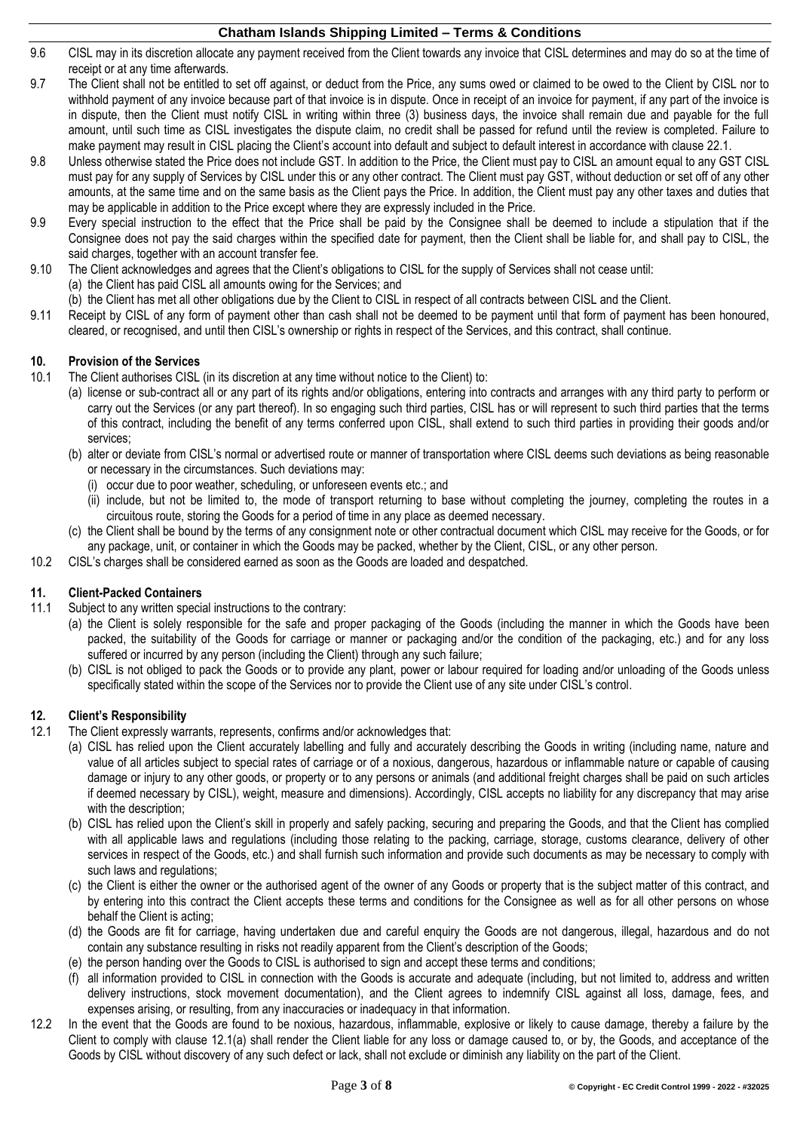- 9.6 CISL may in its discretion allocate any payment received from the Client towards any invoice that CISL determines and may do so at the time of receipt or at any time afterwards.
- 9.7 The Client shall not be entitled to set off against, or deduct from the Price, any sums owed or claimed to be owed to the Client by CISL nor to withhold payment of any invoice because part of that invoice is in dispute. Once in receipt of an invoice for payment, if any part of the invoice is in dispute, then the Client must notify CISL in writing within three (3) business days, the invoice shall remain due and payable for the full amount, until such time as CISL investigates the dispute claim, no credit shall be passed for refund until the review is completed. Failure to make payment may result in CISL placing the Client's account into default and subject to default interest in accordance with clause [22.1.](#page-5-0)
- 9.8 Unless otherwise stated the Price does not include GST. In addition to the Price, the Client must pay to CISL an amount equal to any GST CISL must pay for any supply of Services by CISL under this or any other contract. The Client must pay GST, without deduction or set off of any other amounts, at the same time and on the same basis as the Client pays the Price. In addition, the Client must pay any other taxes and duties that may be applicable in addition to the Price except where they are expressly included in the Price.
- 9.9 Every special instruction to the effect that the Price shall be paid by the Consignee shall be deemed to include a stipulation that if the Consignee does not pay the said charges within the specified date for payment, then the Client shall be liable for, and shall pay to CISL, the said charges, together with an account transfer fee.
- 9.10 The Client acknowledges and agrees that the Client's obligations to CISL for the supply of Services shall not cease until:
	- (a) the Client has paid CISL all amounts owing for the Services; and
	- (b) the Client has met all other obligations due by the Client to CISL in respect of all contracts between CISL and the Client.
- 9.11 Receipt by CISL of any form of payment other than cash shall not be deemed to be payment until that form of payment has been honoured, cleared, or recognised, and until then CISL's ownership or rights in respect of the Services, and this contract, shall continue.

## **10. Provision of the Services**

- 10.1 The Client authorises CISL (in its discretion at any time without notice to the Client) to:
	- (a) license or sub-contract all or any part of its rights and/or obligations, entering into contracts and arranges with any third party to perform or carry out the Services (or any part thereof). In so engaging such third parties, CISL has or will represent to such third parties that the terms of this contract, including the benefit of any terms conferred upon CISL, shall extend to such third parties in providing their goods and/or services;
		- (b) alter or deviate from CISL's normal or advertised route or manner of transportation where CISL deems such deviations as being reasonable or necessary in the circumstances. Such deviations may:
			- (i) occur due to poor weather, scheduling, or unforeseen events etc.; and
			- (ii) include, but not be limited to, the mode of transport returning to base without completing the journey, completing the routes in a circuitous route, storing the Goods for a period of time in any place as deemed necessary.
		- (c) the Client shall be bound by the terms of any consignment note or other contractual document which CISL may receive for the Goods, or for any package, unit, or container in which the Goods may be packed, whether by the Client, CISL, or any other person.
- 10.2 CISL's charges shall be considered earned as soon as the Goods are loaded and despatched.

## **11. Client-Packed Containers**

- 11.1 Subject to any written special instructions to the contrary:
	- (a) the Client is solely responsible for the safe and proper packaging of the Goods (including the manner in which the Goods have been packed, the suitability of the Goods for carriage or manner or packaging and/or the condition of the packaging, etc.) and for any loss suffered or incurred by any person (including the Client) through any such failure;
	- (b) CISL is not obliged to pack the Goods or to provide any plant, power or labour required for loading and/or unloading of the Goods unless specifically stated within the scope of the Services nor to provide the Client use of any site under CISL's control.

#### <span id="page-2-1"></span>**12. Client's Responsibility**

- <span id="page-2-0"></span>12.1 The Client expressly warrants, represents, confirms and/or acknowledges that:
	- (a) CISL has relied upon the Client accurately labelling and fully and accurately describing the Goods in writing (including name, nature and value of all articles subject to special rates of carriage or of a noxious, dangerous, hazardous or inflammable nature or capable of causing damage or injury to any other goods, or property or to any persons or animals (and additional freight charges shall be paid on such articles if deemed necessary by CISL), weight, measure and dimensions). Accordingly, CISL accepts no liability for any discrepancy that may arise with the description;
	- (b) CISL has relied upon the Client's skill in properly and safely packing, securing and preparing the Goods, and that the Client has complied with all applicable laws and regulations (including those relating to the packing, carriage, storage, customs clearance, delivery of other services in respect of the Goods, etc.) and shall furnish such information and provide such documents as may be necessary to comply with such laws and regulations;
	- (c) the Client is either the owner or the authorised agent of the owner of any Goods or property that is the subject matter of this contract, and by entering into this contract the Client accepts these terms and conditions for the Consignee as well as for all other persons on whose behalf the Client is acting;
	- (d) the Goods are fit for carriage, having undertaken due and careful enquiry the Goods are not dangerous, illegal, hazardous and do not contain any substance resulting in risks not readily apparent from the Client's description of the Goods;
	- (e) the person handing over the Goods to CISL is authorised to sign and accept these terms and conditions;
	- (f) all information provided to CISL in connection with the Goods is accurate and adequate (including, but not limited to, address and written delivery instructions, stock movement documentation), and the Client agrees to indemnify CISL against all loss, damage, fees, and expenses arising, or resulting, from any inaccuracies or inadequacy in that information.
- 12.2 In the event that the Goods are found to be noxious, hazardous, inflammable, explosive or likely to cause damage, thereby a failure by the Client to comply with clause [12.1\(a\)](#page-2-0) shall render the Client liable for any loss or damage caused to, or by, the Goods, and acceptance of the Goods by CISL without discovery of any such defect or lack, shall not exclude or diminish any liability on the part of the Client.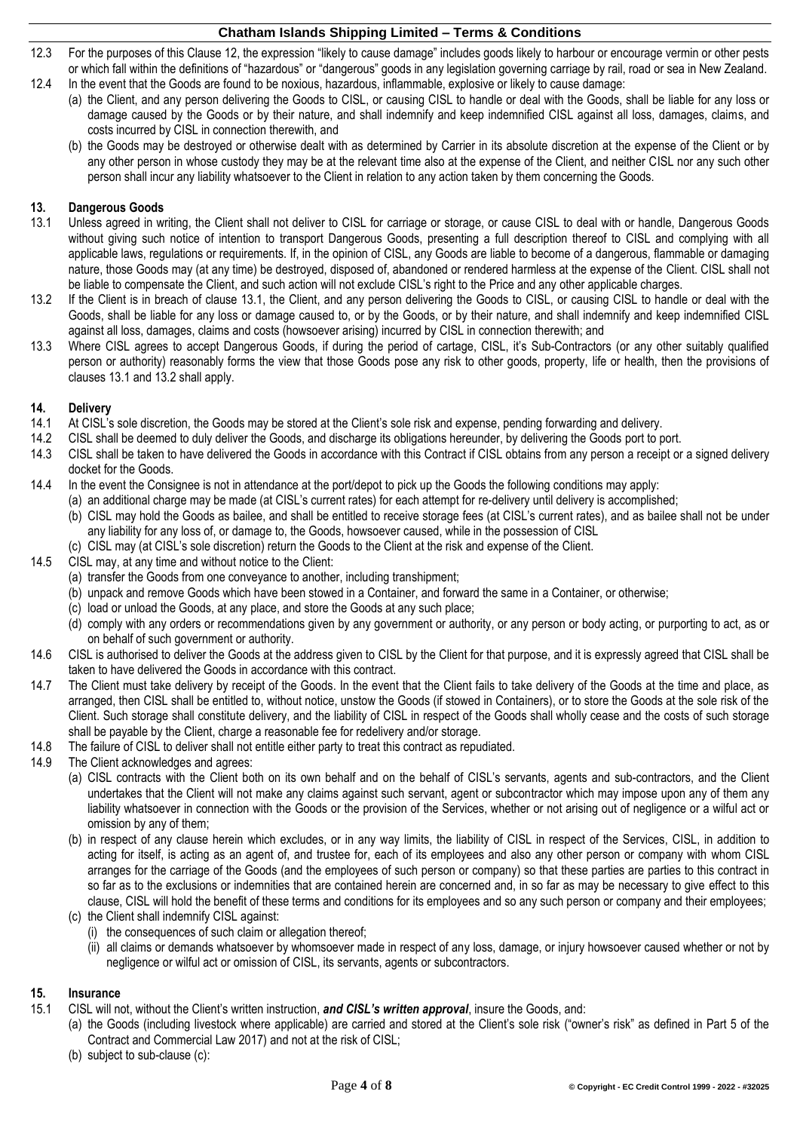- 12.3 For the purposes of this Clause [12](#page-2-1), the expression "likely to cause damage" includes goods likely to harbour or encourage vermin or other pests or which fall within the definitions of "hazardous" or "dangerous" goods in any legislation governing carriage by rail, road or sea in New Zealand.
- 12.4 In the event that the Goods are found to be noxious, hazardous, inflammable, explosive or likely to cause damage: (a) the Client, and any person delivering the Goods to CISL, or causing CISL to handle or deal with the Goods, shall be liable for any loss or damage caused by the Goods or by their nature, and shall indemnify and keep indemnified CISL against all loss, damages, claims, and costs incurred by CISL in connection therewith, and
	- (b) the Goods may be destroyed or otherwise dealt with as determined by Carrier in its absolute discretion at the expense of the Client or by any other person in whose custody they may be at the relevant time also at the expense of the Client, and neither CISL nor any such other person shall incur any liability whatsoever to the Client in relation to any action taken by them concerning the Goods.

## **13. Dangerous Goods**

- <span id="page-3-1"></span>13.1 Unless agreed in writing, the Client shall not deliver to CISL for carriage or storage, or cause CISL to deal with or handle, Dangerous Goods without giving such notice of intention to transport Dangerous Goods, presenting a full description thereof to CISL and complying with all applicable laws, regulations or requirements. If, in the opinion of CISL, any Goods are liable to become of a dangerous, flammable or damaging nature, those Goods may (at any time) be destroyed, disposed of, abandoned or rendered harmless at the expense of the Client. CISL shall not be liable to compensate the Client, and such action will not exclude CISL's right to the Price and any other applicable charges.
- <span id="page-3-2"></span>13.2 If the Client is in breach of clause [13.1,](#page-3-1) the Client, and any person delivering the Goods to CISL, or causing CISL to handle or deal with the Goods, shall be liable for any loss or damage caused to, or by the Goods, or by their nature, and shall indemnify and keep indemnified CISL against all loss, damages, claims and costs (howsoever arising) incurred by CISL in connection therewith; and
- 13.3 Where CISL agrees to accept Dangerous Goods, if during the period of cartage, CISL, it's Sub-Contractors (or any other suitably qualified person or authority) reasonably forms the view that those Goods pose any risk to other goods, property, life or health, then the provisions of clauses [13.1](#page-3-1) and [13.2](#page-3-2) shall apply.

### **14. Delivery**

- <span id="page-3-3"></span>14.1 At CISL's sole discretion, the Goods may be stored at the Client's sole risk and expense, pending forwarding and delivery.<br>14.2 CISL shall be deemed to duly deliver the Goods, and discharge its obligations hereunder,
- 14.2 CISL shall be deemed to duly deliver the Goods, and discharge its obligations hereunder, by delivering the Goods port to port.
- 14.3 CISL shall be taken to have delivered the Goods in accordance with this Contract if CISL obtains from any person a receipt or a signed delivery docket for the Goods.
- 14.4 In the event the Consignee is not in attendance at the port/depot to pick up the Goods the following conditions may apply:
	- (a) an additional charge may be made (at CISL's current rates) for each attempt for re-delivery until delivery is accomplished;
	- (b) CISL may hold the Goods as bailee, and shall be entitled to receive storage fees (at CISL's current rates), and as bailee shall not be under any liability for any loss of, or damage to, the Goods, howsoever caused, while in the possession of CISL
	- (c) CISL may (at CISL's sole discretion) return the Goods to the Client at the risk and expense of the Client.
- 14.5 CISL may, at any time and without notice to the Client:
	- (a) transfer the Goods from one conveyance to another, including transhipment;
	- (b) unpack and remove Goods which have been stowed in a Container, and forward the same in a Container, or otherwise;
	- (c) load or unload the Goods, at any place, and store the Goods at any such place;
	- (d) comply with any orders or recommendations given by any government or authority, or any person or body acting, or purporting to act, as or on behalf of such government or authority.
- 14.6 CISL is authorised to deliver the Goods at the address given to CISL by the Client for that purpose, and it is expressly agreed that CISL shall be taken to have delivered the Goods in accordance with this contract.
- 14.7 The Client must take delivery by receipt of the Goods. In the event that the Client fails to take delivery of the Goods at the time and place, as arranged, then CISL shall be entitled to, without notice, unstow the Goods (if stowed in Containers), or to store the Goods at the sole risk of the Client. Such storage shall constitute delivery, and the liability of CISL in respect of the Goods shall wholly cease and the costs of such storage shall be payable by the Client, charge a reasonable fee for redelivery and/or storage.
- 14.8 The failure of CISL to deliver shall not entitle either party to treat this contract as repudiated.
- 14.9 The Client acknowledges and agrees:
	- (a) CISL contracts with the Client both on its own behalf and on the behalf of CISL's servants, agents and sub-contractors, and the Client undertakes that the Client will not make any claims against such servant, agent or subcontractor which may impose upon any of them any liability whatsoever in connection with the Goods or the provision of the Services, whether or not arising out of negligence or a wilful act or omission by any of them;
	- (b) in respect of any clause herein which excludes, or in any way limits, the liability of CISL in respect of the Services, CISL, in addition to acting for itself, is acting as an agent of, and trustee for, each of its employees and also any other person or company with whom CISL arranges for the carriage of the Goods (and the employees of such person or company) so that these parties are parties to this contract in so far as to the exclusions or indemnities that are contained herein are concerned and, in so far as may be necessary to give effect to this clause, CISL will hold the benefit of these terms and conditions for its employees and so any such person or company and their employees;
	- (c) the Client shall indemnify CISL against:
		- (i) the consequences of such claim or allegation thereof;
		- (ii) all claims or demands whatsoever by whomsoever made in respect of any loss, damage, or injury howsoever caused whether or not by negligence or wilful act or omission of CISL, its servants, agents or subcontractors.

## <span id="page-3-0"></span>**15. Insurance**

- 15.1 CISL will not, without the Client's written instruction, *and CISL's written approval*, insure the Goods, and:
	- (a) the Goods (including livestock where applicable) are carried and stored at the Client's sole risk ("owner's risk" as defined in Part 5 of the Contract and Commercial Law 2017) and not at the risk of CISL;
		- (b) subject to sub-claus[e \(c\):](#page-4-0)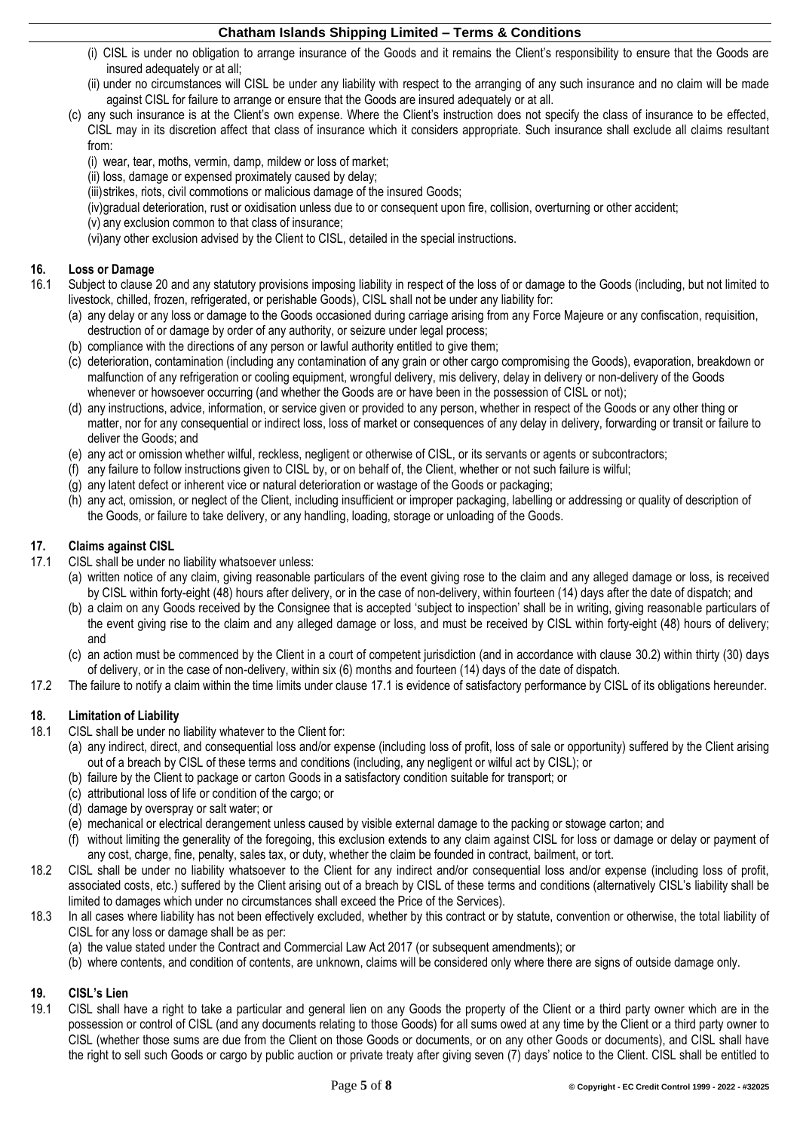- (i) CISL is under no obligation to arrange insurance of the Goods and it remains the Client's responsibility to ensure that the Goods are insured adequately or at all;
- (ii) under no circumstances will CISL be under any liability with respect to the arranging of any such insurance and no claim will be made against CISL for failure to arrange or ensure that the Goods are insured adequately or at all.
- <span id="page-4-0"></span>(c) any such insurance is at the Client's own expense. Where the Client's instruction does not specify the class of insurance to be effected, CISL may in its discretion affect that class of insurance which it considers appropriate. Such insurance shall exclude all claims resultant from:
	- (i) wear, tear, moths, vermin, damp, mildew or loss of market;
	- (ii) loss, damage or expensed proximately caused by delay;
	- (iii)strikes, riots, civil commotions or malicious damage of the insured Goods;
	- (iv)gradual deterioration, rust or oxidisation unless due to or consequent upon fire, collision, overturning or other accident;
	- (v) any exclusion common to that class of insurance;
	- (vi)any other exclusion advised by the Client to CISL, detailed in the special instructions.

### **16. Loss or Damage**

- 16.1 Subject to clause [20](#page-5-1) and any statutory provisions imposing liability in respect of the loss of or damage to the Goods (including, but not limited to livestock, chilled, frozen, refrigerated, or perishable Goods), CISL shall not be under any liability for:
	- (a) any delay or any loss or damage to the Goods occasioned during carriage arising from any Force Majeure or any confiscation, requisition, destruction of or damage by order of any authority, or seizure under legal process;
	- (b) compliance with the directions of any person or lawful authority entitled to give them;
	- (c) deterioration, contamination (including any contamination of any grain or other cargo compromising the Goods), evaporation, breakdown or malfunction of any refrigeration or cooling equipment, wrongful delivery, mis delivery, delay in delivery or non-delivery of the Goods whenever or howsoever occurring (and whether the Goods are or have been in the possession of CISL or not);
	- (d) any instructions, advice, information, or service given or provided to any person, whether in respect of the Goods or any other thing or matter, nor for any consequential or indirect loss, loss of market or consequences of any delay in delivery, forwarding or transit or failure to deliver the Goods; and
	- (e) any act or omission whether wilful, reckless, negligent or otherwise of CISL, or its servants or agents or subcontractors;
	- (f) any failure to follow instructions given to CISL by, or on behalf of, the Client, whether or not such failure is wilful;
	- (g) any latent defect or inherent vice or natural deterioration or wastage of the Goods or packaging;
	- (h) any act, omission, or neglect of the Client, including insufficient or improper packaging, labelling or addressing or quality of description of the Goods, or failure to take delivery, or any handling, loading, storage or unloading of the Goods.

### **17. Claims against CISL**

- <span id="page-4-1"></span>17.1 CISL shall be under no liability whatsoever unless:
	- (a) written notice of any claim, giving reasonable particulars of the event giving rose to the claim and any alleged damage or loss, is received by CISL within forty-eight (48) hours after delivery, or in the case of non-delivery, within fourteen (14) days after the date of dispatch; and
	- (b) a claim on any Goods received by the Consignee that is accepted 'subject to inspection' shall be in writing, giving reasonable particulars of the event giving rise to the claim and any alleged damage or loss, and must be received by CISL within forty-eight (48) hours of delivery; and
	- (c) an action must be commenced by the Client in a court of competent jurisdiction (and in accordance with clause [30.2\)](#page-7-0) within thirty (30) days of delivery, or in the case of non-delivery, within six (6) months and fourteen (14) days of the date of dispatch.
- 17.2 The failure to notify a claim within the time limits under clause [17.1](#page-4-1) is evidence of satisfactory performance by CISL of its obligations hereunder.

## **18. Limitation of Liability**

- 18.1 CISL shall be under no liability whatever to the Client for:
	- (a) any indirect, direct, and consequential loss and/or expense (including loss of profit, loss of sale or opportunity) suffered by the Client arising out of a breach by CISL of these terms and conditions (including, any negligent or wilful act by CISL); or
	- (b) failure by the Client to package or carton Goods in a satisfactory condition suitable for transport; or
	- (c) attributional loss of life or condition of the cargo; or
	- (d) damage by overspray or salt water; or
	- (e) mechanical or electrical derangement unless caused by visible external damage to the packing or stowage carton; and
	- (f) without limiting the generality of the foregoing, this exclusion extends to any claim against CISL for loss or damage or delay or payment of any cost, charge, fine, penalty, sales tax, or duty, whether the claim be founded in contract, bailment, or tort.
- 18.2 CISL shall be under no liability whatsoever to the Client for any indirect and/or consequential loss and/or expense (including loss of profit, associated costs, etc.) suffered by the Client arising out of a breach by CISL of these terms and conditions (alternatively CISL's liability shall be limited to damages which under no circumstances shall exceed the Price of the Services).
- 18.3 In all cases where liability has not been effectively excluded, whether by this contract or by statute, convention or otherwise, the total liability of CISL for any loss or damage shall be as per:
	- (a) the value stated under the Contract and Commercial Law Act 2017 (or subsequent amendments); or
	- (b) where contents, and condition of contents, are unknown, claims will be considered only where there are signs of outside damage only.

#### **19. CISL's Lien**

<span id="page-4-2"></span>19.1 CISL shall have a right to take a particular and general lien on any Goods the property of the Client or a third party owner which are in the possession or control of CISL (and any documents relating to those Goods) for all sums owed at any time by the Client or a third party owner to CISL (whether those sums are due from the Client on those Goods or documents, or on any other Goods or documents), and CISL shall have the right to sell such Goods or cargo by public auction or private treaty after giving seven (7) days' notice to the Client. CISL shall be entitled to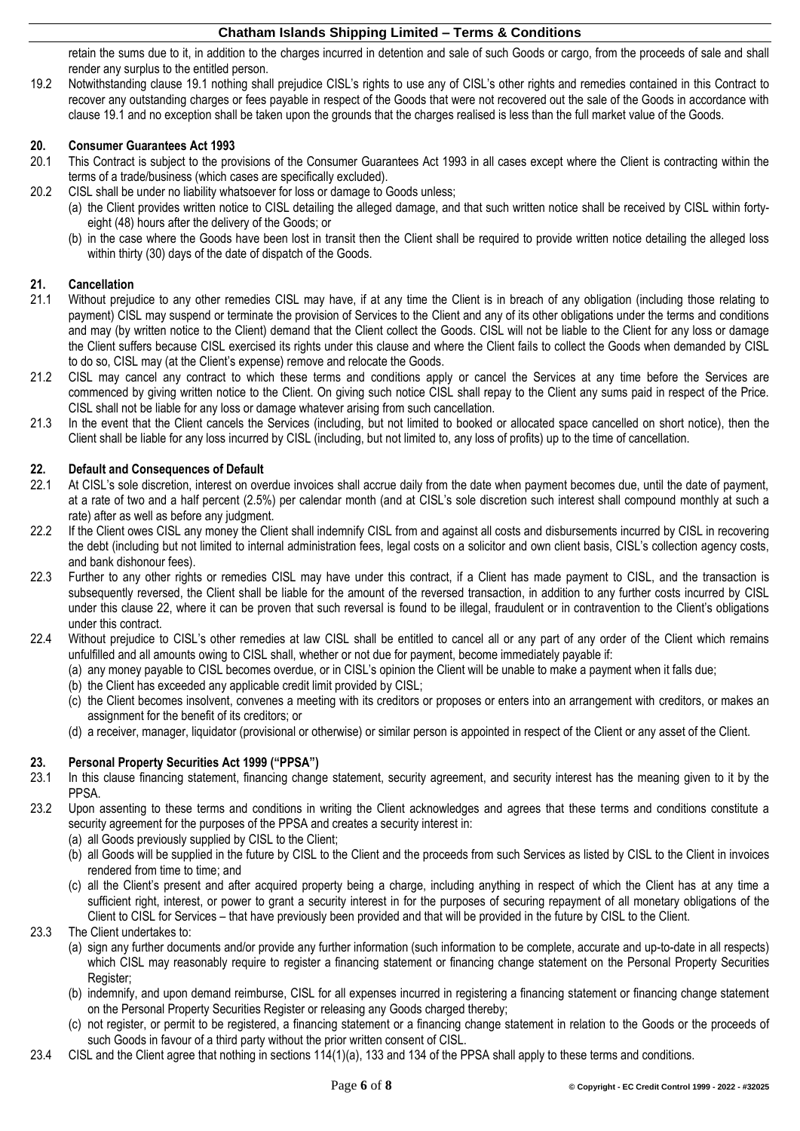retain the sums due to it, in addition to the charges incurred in detention and sale of such Goods or cargo, from the proceeds of sale and shall render any surplus to the entitled person.

19.2 Notwithstanding clause [19.1](#page-4-2) nothing shall prejudice CISL's rights to use any of CISL's other rights and remedies contained in this Contract to recover any outstanding charges or fees payable in respect of the Goods that were not recovered out the sale of the Goods in accordance with clause [19.1](#page-4-2) and no exception shall be taken upon the grounds that the charges realised is less than the full market value of the Goods.

#### <span id="page-5-1"></span>**20. Consumer Guarantees Act 1993**

- 20.1 This Contract is subject to the provisions of the Consumer Guarantees Act 1993 in all cases except where the Client is contracting within the terms of a trade/business (which cases are specifically excluded).
- 20.2 CISL shall be under no liability whatsoever for loss or damage to Goods unless;
	- (a) the Client provides written notice to CISL detailing the alleged damage, and that such written notice shall be received by CISL within fortyeight (48) hours after the delivery of the Goods; or
		- (b) in the case where the Goods have been lost in transit then the Client shall be required to provide written notice detailing the alleged loss within thirty (30) days of the date of dispatch of the Goods.

# **21. Cancellation**

- 21.1 Without prejudice to any other remedies CISL may have, if at any time the Client is in breach of any obligation (including those relating to payment) CISL may suspend or terminate the provision of Services to the Client and any of its other obligations under the terms and conditions and may (by written notice to the Client) demand that the Client collect the Goods. CISL will not be liable to the Client for any loss or damage the Client suffers because CISL exercised its rights under this clause and where the Client fails to collect the Goods when demanded by CISL to do so, CISL may (at the Client's expense) remove and relocate the Goods.
- 21.2 CISL may cancel any contract to which these terms and conditions apply or cancel the Services at any time before the Services are commenced by giving written notice to the Client. On giving such notice CISL shall repay to the Client any sums paid in respect of the Price. CISL shall not be liable for any loss or damage whatever arising from such cancellation.
- 21.3 In the event that the Client cancels the Services (including, but not limited to booked or allocated space cancelled on short notice), then the Client shall be liable for any loss incurred by CISL (including, but not limited to, any loss of profits) up to the time of cancellation.

#### <span id="page-5-2"></span>**22. Default and Consequences of Default**

- <span id="page-5-0"></span>22.1 At CISL's sole discretion, interest on overdue invoices shall accrue daily from the date when payment becomes due, until the date of payment, at a rate of two and a half percent (2.5%) per calendar month (and at CISL's sole discretion such interest shall compound monthly at such a rate) after as well as before any judgment.
- 22.2 If the Client owes CISL any money the Client shall indemnify CISL from and against all costs and disbursements incurred by CISL in recovering the debt (including but not limited to internal administration fees, legal costs on a solicitor and own client basis, CISL's collection agency costs, and bank dishonour fees).
- 22.3 Further to any other rights or remedies CISL may have under this contract, if a Client has made payment to CISL, and the transaction is subsequently reversed, the Client shall be liable for the amount of the reversed transaction, in addition to any further costs incurred by CISL under this clause [22,](#page-5-2) where it can be proven that such reversal is found to be illegal, fraudulent or in contravention to the Client's obligations under this contract.
- 22.4 Without prejudice to CISL's other remedies at law CISL shall be entitled to cancel all or any part of any order of the Client which remains unfulfilled and all amounts owing to CISL shall, whether or not due for payment, become immediately payable if:
	- (a) any money payable to CISL becomes overdue, or in CISL's opinion the Client will be unable to make a payment when it falls due;
	- (b) the Client has exceeded any applicable credit limit provided by CISL;
	- (c) the Client becomes insolvent, convenes a meeting with its creditors or proposes or enters into an arrangement with creditors, or makes an assignment for the benefit of its creditors; or
	- (d) a receiver, manager, liquidator (provisional or otherwise) or similar person is appointed in respect of the Client or any asset of the Client.

## <span id="page-5-4"></span>**23. Personal Property Securities Act 1999 ("PPSA")**

- <span id="page-5-3"></span>23.1 In this clause financing statement, financing change statement, security agreement, and security interest has the meaning given to it by the PPSA.
- 23.2 Upon assenting to these terms and conditions in writing the Client acknowledges and agrees that these terms and conditions constitute a security agreement for the purposes of the PPSA and creates a security interest in:
	- (a) all Goods previously supplied by CISL to the Client;
	- (b) all Goods will be supplied in the future by CISL to the Client and the proceeds from such Services as listed by CISL to the Client in invoices rendered from time to time; and
	- (c) all the Client's present and after acquired property being a charge, including anything in respect of which the Client has at any time a sufficient right, interest, or power to grant a security interest in for the purposes of securing repayment of all monetary obligations of the Client to CISL for Services – that have previously been provided and that will be provided in the future by CISL to the Client.
- 23.3 The Client undertakes to:
	- (a) sign any further documents and/or provide any further information (such information to be complete, accurate and up-to-date in all respects) which CISL may reasonably require to register a financing statement or financing change statement on the Personal Property Securities Register;
	- (b) indemnify, and upon demand reimburse, CISL for all expenses incurred in registering a financing statement or financing change statement on the Personal Property Securities Register or releasing any Goods charged thereby;
	- (c) not register, or permit to be registered, a financing statement or a financing change statement in relation to the Goods or the proceeds of such Goods in favour of a third party without the prior written consent of CISL.
- 23.4 CISL and the Client agree that nothing in sections 114(1)(a), 133 and 134 of the PPSA shall apply to these terms and conditions.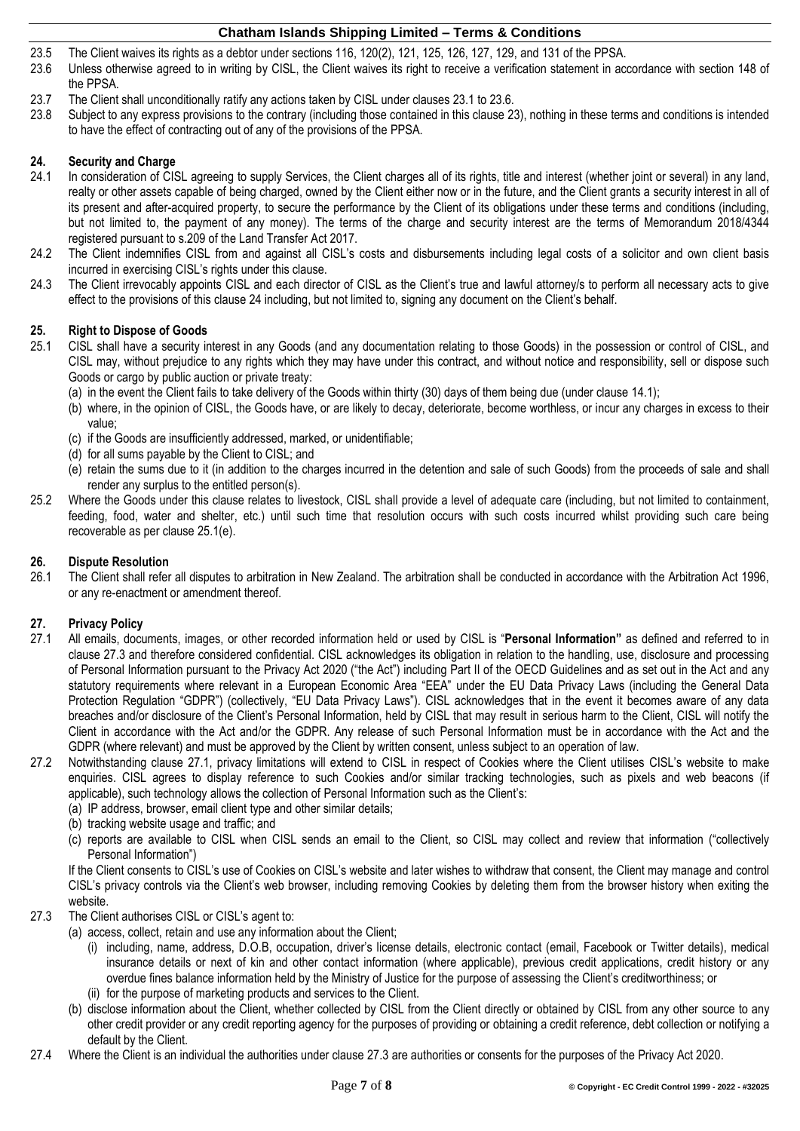- 23.5 The Client waives its rights as a debtor under sections 116, 120(2), 121, 125, 126, 127, 129, and 131 of the PPSA.<br>23.6 Unless otherwise agreed to in writing by CISL, the Client waives its right to receive a verificat
- <span id="page-6-1"></span>23.6 Unless otherwise agreed to in writing by CISL, the Client waives its right to receive a verification statement in accordance with section 148 of the PPSA.
- 23.7 The Client shall unconditionally ratify any actions taken by CISL under clauses [23.1](#page-5-3) t[o 23.6.](#page-6-1)
- 23.8 Subject to any express provisions to the contrary (including those contained in this clause [23\)](#page-5-4), nothing in these terms and conditions is intended to have the effect of contracting out of any of the provisions of the PPSA.

#### <span id="page-6-2"></span>**24. Security and Charge**

- 24.1 In consideration of CISL agreeing to supply Services, the Client charges all of its rights, title and interest (whether joint or several) in any land, realty or other assets capable of being charged, owned by the Client either now or in the future, and the Client grants a security interest in all of its present and after-acquired property, to secure the performance by the Client of its obligations under these terms and conditions (including, but not limited to, the payment of any money). The terms of the charge and security interest are the terms of Memorandum 2018/4344 registered pursuant to s.209 of the Land Transfer Act 2017.
- 24.2 The Client indemnifies CISL from and against all CISL's costs and disbursements including legal costs of a solicitor and own client basis incurred in exercising CISL's rights under this clause.
- 24.3 The Client irrevocably appoints CISL and each director of CISL as the Client's true and lawful attorney/s to perform all necessary acts to give effect to the provisions of this claus[e 24](#page-6-2) including, but not limited to, signing any document on the Client's behalf.

# **25. Right to Dispose of Goods**

- 25.1 CISL shall have a security interest in any Goods (and any documentation relating to those Goods) in the possession or control of CISL, and CISL may, without prejudice to any rights which they may have under this contract, and without notice and responsibility, sell or dispose such Goods or cargo by public auction or private treaty:
	- (a) in the event the Client fails to take delivery of the Goods within thirty (30) days of them being due (under clause [14.1\)](#page-3-3);
	- (b) where, in the opinion of CISL, the Goods have, or are likely to decay, deteriorate, become worthless, or incur any charges in excess to their value;
	- (c) if the Goods are insufficiently addressed, marked, or unidentifiable;
	- (d) for all sums payable by the Client to CISL; and
	- (e) retain the sums due to it (in addition to the charges incurred in the detention and sale of such Goods) from the proceeds of sale and shall render any surplus to the entitled person(s).
- <span id="page-6-3"></span>25.2 Where the Goods under this clause relates to livestock, CISL shall provide a level of adequate care (including, but not limited to containment, feeding, food, water and shelter, etc.) until such time that resolution occurs with such costs incurred whilst providing such care being recoverable as per clause [25.1\(e\).](#page-6-3)

#### **26. Dispute Resolution**

26.1 The Client shall refer all disputes to arbitration in New Zealand. The arbitration shall be conducted in accordance with the Arbitration Act 1996, or any re-enactment or amendment thereof.

#### <span id="page-6-0"></span>**27. Privacy Policy**

- <span id="page-6-5"></span>27.1 All emails, documents, images, or other recorded information held or used by CISL is "**Personal Information"** as defined and referred to in clause [27.3](#page-6-4) and therefore considered confidential. CISL acknowledges its obligation in relation to the handling, use, disclosure and processing of Personal Information pursuant to the Privacy Act 2020 ("the Act") including Part II of the OECD Guidelines and as set out in the Act and any statutory requirements where relevant in a European Economic Area "EEA" under the EU Data Privacy Laws (including the General Data Protection Regulation "GDPR") (collectively, "EU Data Privacy Laws"). CISL acknowledges that in the event it becomes aware of any data breaches and/or disclosure of the Client's Personal Information, held by CISL that may result in serious harm to the Client, CISL will notify the Client in accordance with the Act and/or the GDPR. Any release of such Personal Information must be in accordance with the Act and the GDPR (where relevant) and must be approved by the Client by written consent, unless subject to an operation of law.
- 27.2 Notwithstanding clause [27.1,](#page-6-5) privacy limitations will extend to CISL in respect of Cookies where the Client utilises CISL's website to make enquiries. CISL agrees to display reference to such Cookies and/or similar tracking technologies, such as pixels and web beacons (if applicable), such technology allows the collection of Personal Information such as the Client's:
	- (a) IP address, browser, email client type and other similar details;
	- (b) tracking website usage and traffic; and
	- (c) reports are available to CISL when CISL sends an email to the Client, so CISL may collect and review that information ("collectively Personal Information")

If the Client consents to CISL's use of Cookies on CISL's website and later wishes to withdraw that consent, the Client may manage and control CISL's privacy controls via the Client's web browser, including removing Cookies by deleting them from the browser history when exiting the website.

- <span id="page-6-4"></span>27.3 The Client authorises CISL or CISL's agent to:
	- (a) access, collect, retain and use any information about the Client;
		- (i) including, name, address, D.O.B, occupation, driver's license details, electronic contact (email, Facebook or Twitter details), medical insurance details or next of kin and other contact information (where applicable), previous credit applications, credit history or any overdue fines balance information held by the Ministry of Justice for the purpose of assessing the Client's creditworthiness; or (ii) for the purpose of marketing products and services to the Client.
		- (b) disclose information about the Client, whether collected by CISL from the Client directly or obtained by CISL from any other source to any other credit provider or any credit reporting agency for the purposes of providing or obtaining a credit reference, debt collection or notifying a default by the Client.
- 27.4 Where the Client is an individual the authorities under clause [27.3](#page-6-4) are authorities or consents for the purposes of the Privacy Act 2020.